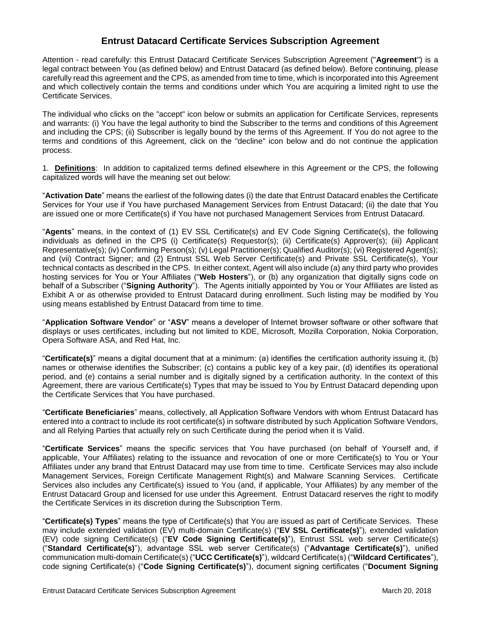## **Entrust Datacard Certificate Services Subscription Agreement**

Attention - read carefully: this Entrust Datacard Certificate Services Subscription Agreement ("**Agreement**") is a legal contract between You (as defined below) and Entrust Datacard (as defined below). Before continuing, please carefully read this agreement and the CPS, as amended from time to time, which is incorporated into this Agreement and which collectively contain the terms and conditions under which You are acquiring a limited right to use the Certificate Services.

The individual who clicks on the "accept" icon below or submits an application for Certificate Services, represents and warrants: (i) You have the legal authority to bind the Subscriber to the terms and conditions of this Agreement and including the CPS; (ii) Subscriber is legally bound by the terms of this Agreement. If You do not agree to the terms and conditions of this Agreement, click on the "decline" icon below and do not continue the application process.

1. **Definitions**: In addition to capitalized terms defined elsewhere in this Agreement or the CPS, the following capitalized words will have the meaning set out below:

"**Activation Date**" means the earliest of the following dates (i) the date that Entrust Datacard enables the Certificate Services for Your use if You have purchased Management Services from Entrust Datacard; (ii) the date that You are issued one or more Certificate(s) if You have not purchased Management Services from Entrust Datacard.

"**Agents**" means, in the context of (1) EV SSL Certificate(s) and EV Code Signing Certificate(s), the following individuals as defined in the CPS (i) Certificate(s) Requestor(s); (ii) Certificate(s) Approver(s); (iii) Applicant Representative(s); (iv) Confirming Person(s); (v) Legal Practitioner(s); Qualified Auditor(s); (vi) Registered Agent(s); and (vii) Contract Signer; and (2) Entrust SSL Web Server Certificate(s) and Private SSL Certificate(s), Your technical contacts as described in the CPS. In either context, Agent will also include (a) any third party who provides hosting services for You or Your Affiliates ("**Web Hosters**"), or (b) any organization that digitally signs code on behalf of a Subscriber ("**Signing Authority**"). The Agents initially appointed by You or Your Affiliates are listed as Exhibit A or as otherwise provided to Entrust Datacard during enrollment. Such listing may be modified by You using means established by Entrust Datacard from time to time.

"**Application Software Vendor**" or "**ASV**" means a developer of Internet browser software or other software that displays or uses certificates, including but not limited to KDE, Microsoft, Mozilla Corporation, Nokia Corporation, Opera Software ASA, and Red Hat, Inc.

"**Certificate(s)**" means a digital document that at a minimum: (a) identifies the certification authority issuing it, (b) names or otherwise identifies the Subscriber; (c) contains a public key of a key pair, (d) identifies its operational period, and (e) contains a serial number and is digitally signed by a certification authority. In the context of this Agreement, there are various Certificate(s) Types that may be issued to You by Entrust Datacard depending upon the Certificate Services that You have purchased.

"**Certificate Beneficiaries**" means, collectively, all Application Software Vendors with whom Entrust Datacard has entered into a contract to include its root certificate(s) in software distributed by such Application Software Vendors, and all Relying Parties that actually rely on such Certificate during the period when it is Valid.

"**Certificate Services**" means the specific services that You have purchased (on behalf of Yourself and, if applicable, Your Affiliates) relating to the issuance and revocation of one or more Certificate(s) to You or Your Affiliates under any brand that Entrust Datacard may use from time to time. Certificate Services may also include Management Services, Foreign Certificate Management Right(s) and Malware Scanning Services. Certificate Services also includes any Certificate(s) issued to You (and, if applicable, Your Affiliates) by any member of the Entrust Datacard Group and licensed for use under this Agreement. Entrust Datacard reserves the right to modify the Certificate Services in its discretion during the Subscription Term.

"**Certificate(s) Types**" means the type of Certificate(s) that You are issued as part of Certificate Services. These may include extended validation (EV) multi-domain Certificate(s) ("**EV SSL Certificate(s)**"), extended validation (EV) code signing Certificate(s) ("**EV Code Signing Certificate(s)**"), Entrust SSL web server Certificate(s) ("**Standard Certificate(s)**"), advantage SSL web server Certificate(s) ("**Advantage Certificate(s)**"), unified communication multi-domain Certificate(s) ("**UCC Certificate(s)**"), wildcard Certificate(s) ("**Wildcard Certificates**"), code signing Certificate(s) ("**Code Signing Certificate(s)**"), document signing certificates ("**Document Signing**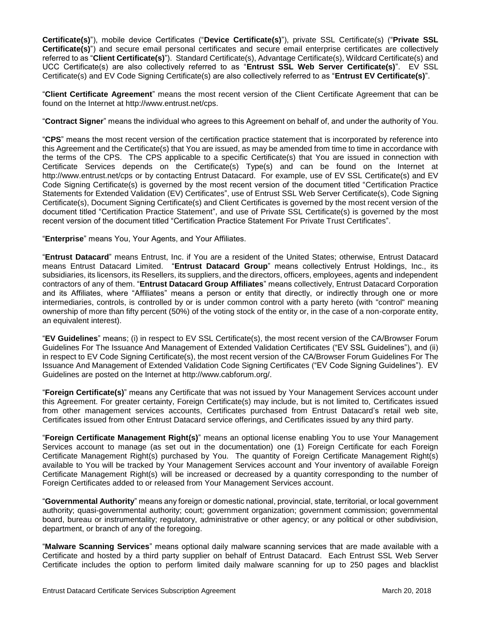**Certificate(s)**"), mobile device Certificates ("**Device Certificate(s)**"), private SSL Certificate(s) ("**Private SSL Certificate(s)**") and secure email personal certificates and secure email enterprise certificates are collectively referred to as "**Client Certificate(s)**"). Standard Certificate(s), Advantage Certificate(s), Wildcard Certificate(s) and UCC Certificate(s) are also collectively referred to as "**Entrust SSL Web Server Certificate(s)**". EV SSL Certificate(s) and EV Code Signing Certificate(s) are also collectively referred to as "**Entrust EV Certificate(s)**".

"**Client Certificate Agreement**" means the most recent version of the Client Certificate Agreement that can be found on the Internet at http://www.entrust.net/cps.

"**Contract Signer**" means the individual who agrees to this Agreement on behalf of, and under the authority of You.

"**CPS**" means the most recent version of the certification practice statement that is incorporated by reference into this Agreement and the Certificate(s) that You are issued, as may be amended from time to time in accordance with the terms of the CPS. The CPS applicable to a specific Certificate(s) that You are issued in connection with Certificate Services depends on the Certificate(s) Type(s) and can be found on the Internet at http://www.entrust.net/cps or by contacting Entrust Datacard. For example, use of EV SSL Certificate(s) and EV Code Signing Certificate(s) is governed by the most recent version of the document titled "Certification Practice Statements for Extended Validation (EV) Certificates", use of Entrust SSL Web Server Certificate(s), Code Signing Certificate(s), Document Signing Certificate(s) and Client Certificates is governed by the most recent version of the document titled "Certification Practice Statement", and use of Private SSL Certificate(s) is governed by the most recent version of the document titled "Certification Practice Statement For Private Trust Certificates".

"**Enterprise**" means You, Your Agents, and Your Affiliates.

"**Entrust Datacard**" means Entrust, Inc. if You are a resident of the United States; otherwise, Entrust Datacard means Entrust Datacard Limited. "**Entrust Datacard Group**" means collectively Entrust Holdings, Inc., its subsidiaries, its licensors, its Resellers, its suppliers, and the directors, officers, employees, agents and independent contractors of any of them. "**Entrust Datacard Group Affiliates**" means collectively, Entrust Datacard Corporation and its Affiliates, where "Affiliates" means a person or entity that directly, or indirectly through one or more intermediaries, controls, is controlled by or is under common control with a party hereto (with "control" meaning ownership of more than fifty percent (50%) of the voting stock of the entity or, in the case of a non-corporate entity, an equivalent interest).

"**EV Guidelines**" means; (i) in respect to EV SSL Certificate(s), the most recent version of the CA/Browser Forum Guidelines For The Issuance And Management of Extended Validation Certificates ("EV SSL Guidelines"), and (ii) in respect to EV Code Signing Certificate(s), the most recent version of the CA/Browser Forum Guidelines For The Issuance And Management of Extended Validation Code Signing Certificates ("EV Code Signing Guidelines"). EV Guidelines are posted on the Internet at http://www.cabforum.org/.

"**Foreign Certificate(s)**" means any Certificate that was not issued by Your Management Services account under this Agreement. For greater certainty, Foreign Certificate(s) may include, but is not limited to, Certificates issued from other management services accounts, Certificates purchased from Entrust Datacard's retail web site, Certificates issued from other Entrust Datacard service offerings, and Certificates issued by any third party.

"**Foreign Certificate Management Right(s)**" means an optional license enabling You to use Your Management Services account to manage (as set out in the documentation) one (1) Foreign Certificate for each Foreign Certificate Management Right(s) purchased by You. The quantity of Foreign Certificate Management Right(s) available to You will be tracked by Your Management Services account and Your inventory of available Foreign Certificate Management Right(s) will be increased or decreased by a quantity corresponding to the number of Foreign Certificates added to or released from Your Management Services account.

"**Governmental Authority**" means any foreign or domestic national, provincial, state, territorial, or local government authority; quasi-governmental authority; court; government organization; government commission; governmental board, bureau or instrumentality; regulatory, administrative or other agency; or any political or other subdivision, department, or branch of any of the foregoing.

"**Malware Scanning Services**" means optional daily malware scanning services that are made available with a Certificate and hosted by a third party supplier on behalf of Entrust Datacard. Each Entrust SSL Web Server Certificate includes the option to perform limited daily malware scanning for up to 250 pages and blacklist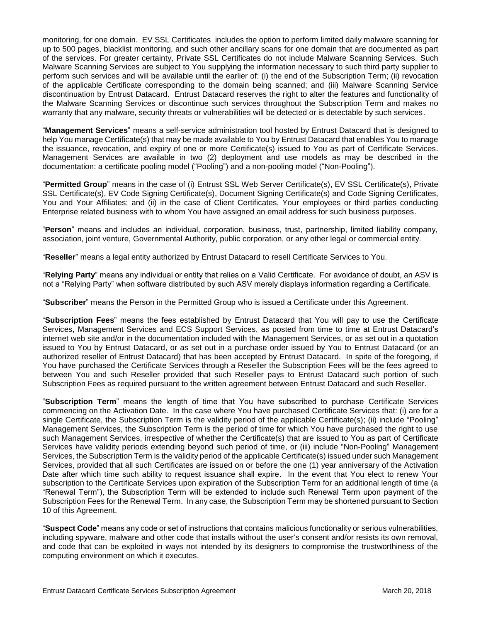monitoring, for one domain. EV SSL Certificates includes the option to perform limited daily malware scanning for up to 500 pages, blacklist monitoring, and such other ancillary scans for one domain that are documented as part of the services. For greater certainty, Private SSL Certificates do not include Malware Scanning Services. Such Malware Scanning Services are subject to You supplying the information necessary to such third party supplier to perform such services and will be available until the earlier of: (i) the end of the Subscription Term; (ii) revocation of the applicable Certificate corresponding to the domain being scanned; and (iii) Malware Scanning Service discontinuation by Entrust Datacard. Entrust Datacard reserves the right to alter the features and functionality of the Malware Scanning Services or discontinue such services throughout the Subscription Term and makes no warranty that any malware, security threats or vulnerabilities will be detected or is detectable by such services.

"**Management Services**" means a self-service administration tool hosted by Entrust Datacard that is designed to help You manage Certificate(s) that may be made available to You by Entrust Datacard that enables You to manage the issuance, revocation, and expiry of one or more Certificate(s) issued to You as part of Certificate Services. Management Services are available in two (2) deployment and use models as may be described in the documentation: a certificate pooling model ("Pooling") and a non-pooling model ("Non-Pooling").

"**Permitted Group**" means in the case of (i) Entrust SSL Web Server Certificate(s), EV SSL Certificate(s), Private SSL Certificate(s), EV Code Signing Certificate(s), Document Signing Certificate(s) and Code Signing Certificates, You and Your Affiliates; and (ii) in the case of Client Certificates, Your employees or third parties conducting Enterprise related business with to whom You have assigned an email address for such business purposes.

"**Person**" means and includes an individual, corporation, business, trust, partnership, limited liability company, association, joint venture, Governmental Authority, public corporation, or any other legal or commercial entity.

"**Reseller**" means a legal entity authorized by Entrust Datacard to resell Certificate Services to You.

"**Relying Party**" means any individual or entity that relies on a Valid Certificate. For avoidance of doubt, an ASV is not a "Relying Party" when software distributed by such ASV merely displays information regarding a Certificate.

"**Subscriber**" means the Person in the Permitted Group who is issued a Certificate under this Agreement.

"**Subscription Fees**" means the fees established by Entrust Datacard that You will pay to use the Certificate Services, Management Services and ECS Support Services, as posted from time to time at Entrust Datacard's internet web site and/or in the documentation included with the Management Services, or as set out in a quotation issued to You by Entrust Datacard, or as set out in a purchase order issued by You to Entrust Datacard (or an authorized reseller of Entrust Datacard) that has been accepted by Entrust Datacard. In spite of the foregoing, if You have purchased the Certificate Services through a Reseller the Subscription Fees will be the fees agreed to between You and such Reseller provided that such Reseller pays to Entrust Datacard such portion of such Subscription Fees as required pursuant to the written agreement between Entrust Datacard and such Reseller.

"**Subscription Term**" means the length of time that You have subscribed to purchase Certificate Services commencing on the Activation Date. In the case where You have purchased Certificate Services that: (i) are for a single Certificate, the Subscription Term is the validity period of the applicable Certificate(s); (ii) include "Pooling" Management Services, the Subscription Term is the period of time for which You have purchased the right to use such Management Services, irrespective of whether the Certificate(s) that are issued to You as part of Certificate Services have validity periods extending beyond such period of time, or (iii) include "Non-Pooling" Management Services, the Subscription Term is the validity period of the applicable Certificate(s) issued under such Management Services, provided that all such Certificates are issued on or before the one (1) year anniversary of the Activation Date after which time such ability to request issuance shall expire. In the event that You elect to renew Your subscription to the Certificate Services upon expiration of the Subscription Term for an additional length of time (a "Renewal Term"), the Subscription Term will be extended to include such Renewal Term upon payment of the Subscription Fees for the Renewal Term. In any case, the Subscription Term may be shortened pursuant to Section 10 of this Agreement.

"**Suspect Code**" means any code or set of instructions that contains malicious functionality or serious vulnerabilities, including spyware, malware and other code that installs without the user's consent and/or resists its own removal, and code that can be exploited in ways not intended by its designers to compromise the trustworthiness of the computing environment on which it executes.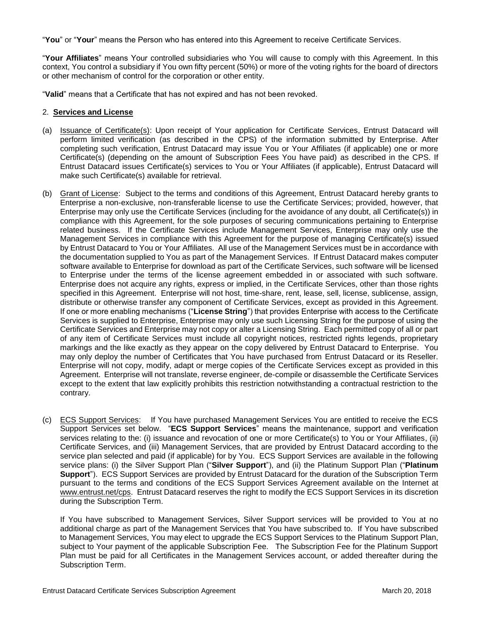"**You**" or "**Your**" means the Person who has entered into this Agreement to receive Certificate Services.

"**Your Affiliates**" means Your controlled subsidiaries who You will cause to comply with this Agreement. In this context, You control a subsidiary if You own fifty percent (50%) or more of the voting rights for the board of directors or other mechanism of control for the corporation or other entity.

"**Valid**" means that a Certificate that has not expired and has not been revoked.

#### 2. **Services and License**

- (a) Issuance of Certificate(s): Upon receipt of Your application for Certificate Services, Entrust Datacard will perform limited verification (as described in the CPS) of the information submitted by Enterprise. After completing such verification, Entrust Datacard may issue You or Your Affiliates (if applicable) one or more Certificate(s) (depending on the amount of Subscription Fees You have paid) as described in the CPS. If Entrust Datacard issues Certificate(s) services to You or Your Affiliates (if applicable), Entrust Datacard will make such Certificate(s) available for retrieval.
- (b) Grant of License: Subject to the terms and conditions of this Agreement, Entrust Datacard hereby grants to Enterprise a non-exclusive, non-transferable license to use the Certificate Services; provided, however, that Enterprise may only use the Certificate Services (including for the avoidance of any doubt, all Certificate(s)) in compliance with this Agreement, for the sole purposes of securing communications pertaining to Enterprise related business. If the Certificate Services include Management Services, Enterprise may only use the Management Services in compliance with this Agreement for the purpose of managing Certificate(s) issued by Entrust Datacard to You or Your Affiliates. All use of the Management Services must be in accordance with the documentation supplied to You as part of the Management Services. If Entrust Datacard makes computer software available to Enterprise for download as part of the Certificate Services, such software will be licensed to Enterprise under the terms of the license agreement embedded in or associated with such software. Enterprise does not acquire any rights, express or implied, in the Certificate Services, other than those rights specified in this Agreement. Enterprise will not host, time-share, rent, lease, sell, license, sublicense, assign, distribute or otherwise transfer any component of Certificate Services, except as provided in this Agreement. If one or more enabling mechanisms ("**License String**") that provides Enterprise with access to the Certificate Services is supplied to Enterprise, Enterprise may only use such Licensing String for the purpose of using the Certificate Services and Enterprise may not copy or alter a Licensing String. Each permitted copy of all or part of any item of Certificate Services must include all copyright notices, restricted rights legends, proprietary markings and the like exactly as they appear on the copy delivered by Entrust Datacard to Enterprise. You may only deploy the number of Certificates that You have purchased from Entrust Datacard or its Reseller. Enterprise will not copy, modify, adapt or merge copies of the Certificate Services except as provided in this Agreement. Enterprise will not translate, reverse engineer, de-compile or disassemble the Certificate Services except to the extent that law explicitly prohibits this restriction notwithstanding a contractual restriction to the contrary.
- (c) ECS Support Services: If You have purchased Management Services You are entitled to receive the ECS Support Services set below. "**ECS Support Services**" means the maintenance, support and verification services relating to the: (i) issuance and revocation of one or more Certificate(s) to You or Your Affiliates, (ii) Certificate Services, and (iii) Management Services, that are provided by Entrust Datacard according to the service plan selected and paid (if applicable) for by You. ECS Support Services are available in the following service plans: (i) the Silver Support Plan ("**Silver Support**"), and (ii) the Platinum Support Plan ("**Platinum Support**"). ECS Support Services are provided by Entrust Datacard for the duration of the Subscription Term pursuant to the terms and conditions of the ECS Support Services Agreement available on the Internet at www.entrust.net/cps. Entrust Datacard reserves the right to modify the ECS Support Services in its discretion during the Subscription Term.

If You have subscribed to Management Services, Silver Support services will be provided to You at no additional charge as part of the Management Services that You have subscribed to. If You have subscribed to Management Services, You may elect to upgrade the ECS Support Services to the Platinum Support Plan, subject to Your payment of the applicable Subscription Fee. The Subscription Fee for the Platinum Support Plan must be paid for all Certificates in the Management Services account, or added thereafter during the Subscription Term.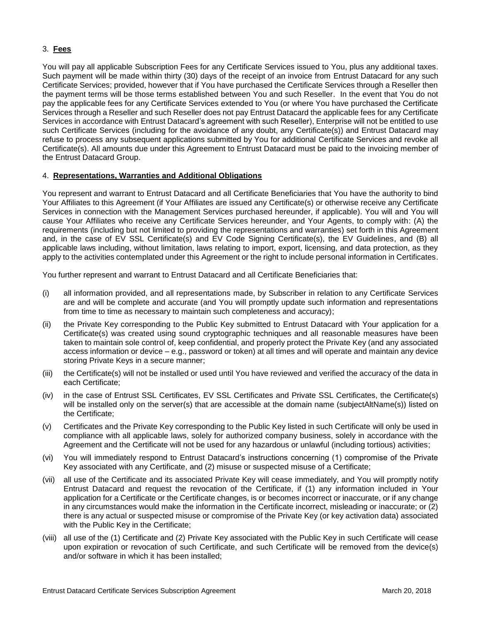## 3. **Fees**

You will pay all applicable Subscription Fees for any Certificate Services issued to You, plus any additional taxes. Such payment will be made within thirty (30) days of the receipt of an invoice from Entrust Datacard for any such Certificate Services; provided, however that if You have purchased the Certificate Services through a Reseller then the payment terms will be those terms established between You and such Reseller. In the event that You do not pay the applicable fees for any Certificate Services extended to You (or where You have purchased the Certificate Services through a Reseller and such Reseller does not pay Entrust Datacard the applicable fees for any Certificate Services in accordance with Entrust Datacard's agreement with such Reseller), Enterprise will not be entitled to use such Certificate Services (including for the avoidance of any doubt, any Certificate(s)) and Entrust Datacard may refuse to process any subsequent applications submitted by You for additional Certificate Services and revoke all Certificate(s). All amounts due under this Agreement to Entrust Datacard must be paid to the invoicing member of the Entrust Datacard Group.

## 4. **Representations, Warranties and Additional Obligations**

You represent and warrant to Entrust Datacard and all Certificate Beneficiaries that You have the authority to bind Your Affiliates to this Agreement (if Your Affiliates are issued any Certificate(s) or otherwise receive any Certificate Services in connection with the Management Services purchased hereunder, if applicable). You will and You will cause Your Affiliates who receive any Certificate Services hereunder, and Your Agents, to comply with: (A) the requirements (including but not limited to providing the representations and warranties) set forth in this Agreement and, in the case of EV SSL Certificate(s) and EV Code Signing Certificate(s), the EV Guidelines, and (B) all applicable laws including, without limitation, laws relating to import, export, licensing, and data protection, as they apply to the activities contemplated under this Agreement or the right to include personal information in Certificates.

You further represent and warrant to Entrust Datacard and all Certificate Beneficiaries that:

- (i) all information provided, and all representations made, by Subscriber in relation to any Certificate Services are and will be complete and accurate (and You will promptly update such information and representations from time to time as necessary to maintain such completeness and accuracy);
- (ii) the Private Key corresponding to the Public Key submitted to Entrust Datacard with Your application for a Certificate(s) was created using sound cryptographic techniques and all reasonable measures have been taken to maintain sole control of, keep confidential, and properly protect the Private Key (and any associated access information or device – e.g., password or token) at all times and will operate and maintain any device storing Private Keys in a secure manner;
- (iii) the Certificate(s) will not be installed or used until You have reviewed and verified the accuracy of the data in each Certificate;
- (iv) in the case of Entrust SSL Certificates, EV SSL Certificates and Private SSL Certificates, the Certificate(s) will be installed only on the server(s) that are accessible at the domain name (subjectAltName(s)) listed on the Certificate;
- (v) Certificates and the Private Key corresponding to the Public Key listed in such Certificate will only be used in compliance with all applicable laws, solely for authorized company business, solely in accordance with the Agreement and the Certificate will not be used for any hazardous or unlawful (including tortious) activities;
- (vi) You will immediately respond to Entrust Datacard's instructions concerning (1) compromise of the Private Key associated with any Certificate, and (2) misuse or suspected misuse of a Certificate;
- (vii) all use of the Certificate and its associated Private Key will cease immediately, and You will promptly notify Entrust Datacard and request the revocation of the Certificate, if (1) any information included in Your application for a Certificate or the Certificate changes, is or becomes incorrect or inaccurate, or if any change in any circumstances would make the information in the Certificate incorrect, misleading or inaccurate; or (2) there is any actual or suspected misuse or compromise of the Private Key (or key activation data) associated with the Public Key in the Certificate;
- (viii) all use of the (1) Certificate and (2) Private Key associated with the Public Key in such Certificate will cease upon expiration or revocation of such Certificate, and such Certificate will be removed from the device(s) and/or software in which it has been installed;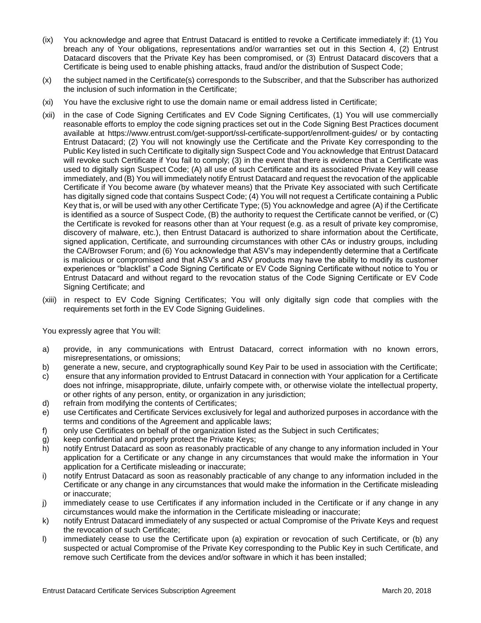- (ix) You acknowledge and agree that Entrust Datacard is entitled to revoke a Certificate immediately if: (1) You breach any of Your obligations, representations and/or warranties set out in this Section 4, (2) Entrust Datacard discovers that the Private Key has been compromised, or (3) Entrust Datacard discovers that a Certificate is being used to enable phishing attacks, fraud and/or the distribution of Suspect Code;
- (x) the subject named in the Certificate(s) corresponds to the Subscriber, and that the Subscriber has authorized the inclusion of such information in the Certificate;
- (xi) You have the exclusive right to use the domain name or email address listed in Certificate;
- (xii) in the case of Code Signing Certificates and EV Code Signing Certificates, (1) You will use commercially reasonable efforts to employ the code signing practices set out in the Code Signing Best Practices document available at https://www.entrust.com/get-support/ssl-certificate-support/enrollment-guides/ or by contacting Entrust Datacard; (2) You will not knowingly use the Certificate and the Private Key corresponding to the Public Key listed in such Certificate to digitally sign Suspect Code and You acknowledge that Entrust Datacard will revoke such Certificate if You fail to comply; (3) in the event that there is evidence that a Certificate was used to digitally sign Suspect Code; (A) all use of such Certificate and its associated Private Key will cease immediately, and (B) You will immediately notify Entrust Datacard and request the revocation of the applicable Certificate if You become aware (by whatever means) that the Private Key associated with such Certificate has digitally signed code that contains Suspect Code; (4) You will not request a Certificate containing a Public Key that is, or will be used with any other Certificate Type; (5) You acknowledge and agree (A) if the Certificate is identified as a source of Suspect Code, (B) the authority to request the Certificate cannot be verified, or (C) the Certificate is revoked for reasons other than at Your request (e.g. as a result of private key compromise, discovery of malware, etc.), then Entrust Datacard is authorized to share information about the Certificate, signed application, Certificate, and surrounding circumstances with other CAs or industry groups, including the CA/Browser Forum; and (6) You acknowledge that ASV's may independently determine that a Certificate is malicious or compromised and that ASV's and ASV products may have the ability to modify its customer experiences or "blacklist" a Code Signing Certificate or EV Code Signing Certificate without notice to You or Entrust Datacard and without regard to the revocation status of the Code Signing Certificate or EV Code Signing Certificate; and
- (xiii) in respect to EV Code Signing Certificates; You will only digitally sign code that complies with the requirements set forth in the EV Code Signing Guidelines.

You expressly agree that You will:

- a) provide, in any communications with Entrust Datacard, correct information with no known errors, misrepresentations, or omissions;
- b) generate a new, secure, and cryptographically sound Key Pair to be used in association with the Certificate;
- c) ensure that any information provided to Entrust Datacard in connection with Your application for a Certificate does not infringe, misappropriate, dilute, unfairly compete with, or otherwise violate the intellectual property, or other rights of any person, entity, or organization in any jurisdiction;
- d) refrain from modifying the contents of Certificates;
- e) use Certificates and Certificate Services exclusively for legal and authorized purposes in accordance with the terms and conditions of the Agreement and applicable laws;
- f) only use Certificates on behalf of the organization listed as the Subject in such Certificates;
- g) keep confidential and properly protect the Private Keys;
- h) notify Entrust Datacard as soon as reasonably practicable of any change to any information included in Your application for a Certificate or any change in any circumstances that would make the information in Your application for a Certificate misleading or inaccurate;
- i) notify Entrust Datacard as soon as reasonably practicable of any change to any information included in the Certificate or any change in any circumstances that would make the information in the Certificate misleading or inaccurate;
- j) immediately cease to use Certificates if any information included in the Certificate or if any change in any circumstances would make the information in the Certificate misleading or inaccurate;
- k) notify Entrust Datacard immediately of any suspected or actual Compromise of the Private Keys and request the revocation of such Certificate;
- l) immediately cease to use the Certificate upon (a) expiration or revocation of such Certificate, or (b) any suspected or actual Compromise of the Private Key corresponding to the Public Key in such Certificate, and remove such Certificate from the devices and/or software in which it has been installed;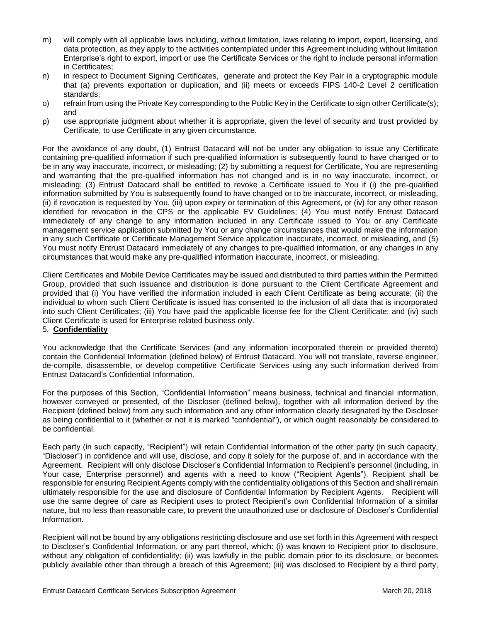- m) will comply with all applicable laws including, without limitation, laws relating to import, export, licensing, and data protection, as they apply to the activities contemplated under this Agreement including without limitation Enterprise's right to export, import or use the Certificate Services or the right to include personal information in Certificates;
- n) in respect to Document Signing Certificates, generate and protect the Key Pair in a cryptographic module that (a) prevents exportation or duplication, and (ii) meets or exceeds FIPS 140-2 Level 2 certification standards;
- o) refrain from using the Private Key corresponding to the Public Key in the Certificate to sign other Certificate(s); and
- p) use appropriate judgment about whether it is appropriate, given the level of security and trust provided by Certificate, to use Certificate in any given circumstance.

For the avoidance of any doubt, (1) Entrust Datacard will not be under any obligation to issue any Certificate containing pre-qualified information if such pre-qualified information is subsequently found to have changed or to be in any way inaccurate, incorrect, or misleading; (2) by submitting a request for Certificate, You are representing and warranting that the pre-qualified information has not changed and is in no way inaccurate, incorrect, or misleading; (3) Entrust Datacard shall be entitled to revoke a Certificate issued to You if (i) the pre-qualified information submitted by You is subsequently found to have changed or to be inaccurate, incorrect, or misleading, (ii) if revocation is requested by You, (iii) upon expiry or termination of this Agreement, or (iv) for any other reason identified for revocation in the CPS or the applicable EV Guidelines; (4) You must notify Entrust Datacard immediately of any change to any information included in any Certificate issued to You or any Certificate management service application submitted by You or any change circumstances that would make the information in any such Certificate or Certificate Management Service application inaccurate, incorrect, or misleading, and (5) You must notify Entrust Datacard immediately of any changes to pre-qualified information, or any changes in any circumstances that would make any pre-qualified information inaccurate, incorrect, or misleading.

Client Certificates and Mobile Device Certificates may be issued and distributed to third parties within the Permitted Group, provided that such issuance and distribution is done pursuant to the Client Certificate Agreement and provided that (i) You have verified the information included in each Client Certificate as being accurate; (ii) the individual to whom such Client Certificate is issued has consented to the inclusion of all data that is incorporated into such Client Certificates; (iii) You have paid the applicable license fee for the Client Certificate; and (iv) such Client Certificate is used for Enterprise related business only.

## 5. **Confidentiality**

You acknowledge that the Certificate Services (and any information incorporated therein or provided thereto) contain the Confidential Information (defined below) of Entrust Datacard. You will not translate, reverse engineer, de-compile, disassemble, or develop competitive Certificate Services using any such information derived from Entrust Datacard's Confidential Information.

For the purposes of this Section, "Confidential Information" means business, technical and financial information, however conveyed or presented, of the Discloser (defined below), together with all information derived by the Recipient (defined below) from any such information and any other information clearly designated by the Discloser as being confidential to it (whether or not it is marked "confidential"), or which ought reasonably be considered to be confidential.

Each party (in such capacity, "Recipient") will retain Confidential Information of the other party (in such capacity, "Discloser") in confidence and will use, disclose, and copy it solely for the purpose of, and in accordance with the Agreement. Recipient will only disclose Discloser's Confidential Information to Recipient's personnel (including, in Your case, Enterprise personnel) and agents with a need to know ("Recipient Agents"). Recipient shall be responsible for ensuring Recipient Agents comply with the confidentiality obligations of this Section and shall remain ultimately responsible for the use and disclosure of Confidential Information by Recipient Agents. Recipient will use the same degree of care as Recipient uses to protect Recipient's own Confidential Information of a similar nature, but no less than reasonable care, to prevent the unauthorized use or disclosure of Discloser's Confidential Information.

Recipient will not be bound by any obligations restricting disclosure and use set forth in this Agreement with respect to Discloser's Confidential Information, or any part thereof, which: (i) was known to Recipient prior to disclosure, without any obligation of confidentiality; (ii) was lawfully in the public domain prior to its disclosure, or becomes publicly available other than through a breach of this Agreement; (iii) was disclosed to Recipient by a third party,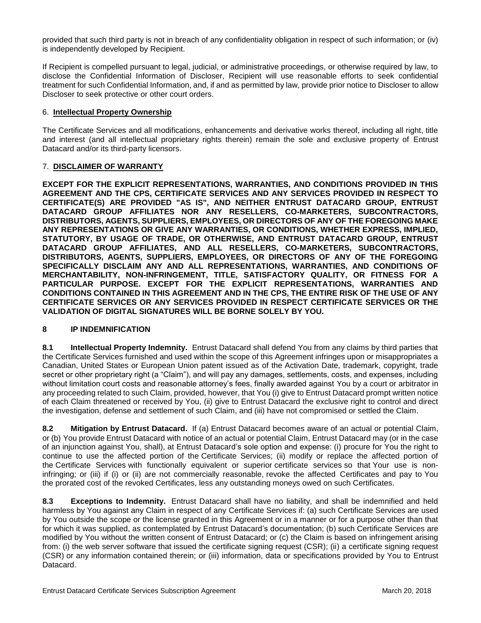provided that such third party is not in breach of any confidentiality obligation in respect of such information; or (iv) is independently developed by Recipient.

If Recipient is compelled pursuant to legal, judicial, or administrative proceedings, or otherwise required by law, to disclose the Confidential Information of Discloser, Recipient will use reasonable efforts to seek confidential treatment for such Confidential Information, and, if and as permitted by law, provide prior notice to Discloser to allow Discloser to seek protective or other court orders.

## 6. **Intellectual Property Ownership**

The Certificate Services and all modifications, enhancements and derivative works thereof, including all right, title and interest (and all intellectual proprietary rights therein) remain the sole and exclusive property of Entrust Datacard and/or its third-party licensors.

## 7. **DISCLAIMER OF WARRANTY**

**EXCEPT FOR THE EXPLICIT REPRESENTATIONS, WARRANTIES, AND CONDITIONS PROVIDED IN THIS AGREEMENT AND THE CPS, CERTIFICATE SERVICES AND ANY SERVICES PROVIDED IN RESPECT TO CERTIFICATE(S) ARE PROVIDED "AS IS", AND NEITHER ENTRUST DATACARD GROUP, ENTRUST DATACARD GROUP AFFILIATES NOR ANY RESELLERS, CO-MARKETERS, SUBCONTRACTORS, DISTRIBUTORS, AGENTS, SUPPLIERS, EMPLOYEES, OR DIRECTORS OF ANY OF THE FOREGOING MAKE ANY REPRESENTATIONS OR GIVE ANY WARRANTIES, OR CONDITIONS, WHETHER EXPRESS, IMPLIED, STATUTORY, BY USAGE OF TRADE, OR OTHERWISE, AND ENTRUST DATACARD GROUP, ENTRUST DATACARD GROUP AFFILIATES, AND ALL RESELLERS, CO-MARKETERS, SUBCONTRACTORS, DISTRIBUTORS, AGENTS, SUPPLIERS, EMPLOYEES, OR DIRECTORS OF ANY OF THE FOREGOING SPECIFICALLY DISCLAIM ANY AND ALL REPRESENTATIONS, WARRANTIES, AND CONDITIONS OF MERCHANTABILITY, NON-INFRINGEMENT, TITLE, SATISFACTORY QUALITY, OR FITNESS FOR A PARTICULAR PURPOSE. EXCEPT FOR THE EXPLICIT REPRESENTATIONS, WARRANTIES AND CONDITIONS CONTAINED IN THIS AGREEMENT AND IN THE CPS, THE ENTIRE RISK OF THE USE OF ANY CERTIFICATE SERVICES OR ANY SERVICES PROVIDED IN RESPECT CERTIFICATE SERVICES OR THE VALIDATION OF DIGITAL SIGNATURES WILL BE BORNE SOLELY BY YOU.**

## **8 IP INDEMNIFICATION**

**8.1 Intellectual Property Indemnity.** Entrust Datacard shall defend You from any claims by third parties that the Certificate Services furnished and used within the scope of this Agreement infringes upon or misappropriates a Canadian, United States or European Union patent issued as of the Activation Date, trademark, copyright, trade secret or other proprietary right (a "Claim"), and will pay any damages, settlements, costs, and expenses, including without limitation court costs and reasonable attorney's fees, finally awarded against You by a court or arbitrator in any proceeding related to such Claim, provided, however, that You (i) give to Entrust Datacard prompt written notice of each Claim threatened or received by You, (ii) give to Entrust Datacard the exclusive right to control and direct the investigation, defense and settlement of such Claim, and (iii) have not compromised or settled the Claim.

**8.2 Mitigation by Entrust Datacard.** If (a) Entrust Datacard becomes aware of an actual or potential Claim, or (b) You provide Entrust Datacard with notice of an actual or potential Claim, Entrust Datacard may (or in the case of an injunction against You, shall), at Entrust Datacard's sole option and expense: (i) procure for You the right to continue to use the affected portion of the Certificate Services; (ii) modify or replace the affected portion of the Certificate Services with functionally equivalent or superior certificate services so that Your use is noninfringing; or (iii) if (i) or (ii) are not commercially reasonable, revoke the affected Certificates and pay to You the prorated cost of the revoked Certificates, less any outstanding moneys owed on such Certificates.

**8.3 Exceptions to Indemnity.** Entrust Datacard shall have no liability, and shall be indemnified and held harmless by You against any Claim in respect of any Certificate Services if: (a) such Certificate Services are used by You outside the scope or the license granted in this Agreement or in a manner or for a purpose other than that for which it was supplied, as contemplated by Entrust Datacard's documentation; (b) such Certificate Services are modified by You without the written consent of Entrust Datacard; or (c) the Claim is based on infringement arising from: (i) the web server software that issued the certificate signing request (CSR); (ii) a certificate signing request (CSR) or any information contained therein; or (iii) information, data or specifications provided by You to Entrust Datacard.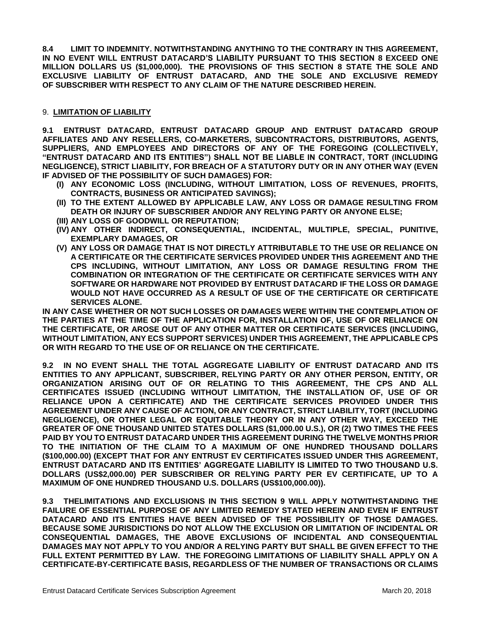**8.4 LIMIT TO INDEMNITY. NOTWITHSTANDING ANYTHING TO THE CONTRARY IN THIS AGREEMENT, IN NO EVENT WILL ENTRUST DATACARD'S LIABILITY PURSUANT TO THIS SECTION 8 EXCEED ONE MILLION DOLLARS US (\$1,000,000). THE PROVISIONS OF THIS SECTION 8 STATE THE SOLE AND EXCLUSIVE LIABILITY OF ENTRUST DATACARD, AND THE SOLE AND EXCLUSIVE REMEDY OF SUBSCRIBER WITH RESPECT TO ANY CLAIM OF THE NATURE DESCRIBED HEREIN.**

#### 9. **LIMITATION OF LIABILITY**

**9.1 ENTRUST DATACARD, ENTRUST DATACARD GROUP AND ENTRUST DATACARD GROUP AFFILIATES AND ANY RESELLERS, CO-MARKETERS, SUBCONTRACTORS, DISTRIBUTORS, AGENTS, SUPPLIERS, AND EMPLOYEES AND DIRECTORS OF ANY OF THE FOREGOING (COLLECTIVELY, "ENTRUST DATACARD AND ITS ENTITIES") SHALL NOT BE LIABLE IN CONTRACT, TORT (INCLUDING NEGLIGENCE), STRICT LIABILITY, FOR BREACH OF A STATUTORY DUTY OR IN ANY OTHER WAY (EVEN IF ADVISED OF THE POSSIBILITY OF SUCH DAMAGES) FOR:**

- **(I) ANY ECONOMIC LOSS (INCLUDING, WITHOUT LIMITATION, LOSS OF REVENUES, PROFITS, CONTRACTS, BUSINESS OR ANTICIPATED SAVINGS);**
- **(II) TO THE EXTENT ALLOWED BY APPLICABLE LAW, ANY LOSS OR DAMAGE RESULTING FROM DEATH OR INJURY OF SUBSCRIBER AND/OR ANY RELYING PARTY OR ANYONE ELSE;**
- **(III) ANY LOSS OF GOODWILL OR REPUTATION;**
- **(IV) ANY OTHER INDIRECT, CONSEQUENTIAL, INCIDENTAL, MULTIPLE, SPECIAL, PUNITIVE, EXEMPLARY DAMAGES, OR**
- **(V) ANY LOSS OR DAMAGE THAT IS NOT DIRECTLY ATTRIBUTABLE TO THE USE OR RELIANCE ON A CERTIFICATE OR THE CERTIFICATE SERVICES PROVIDED UNDER THIS AGREEMENT AND THE CPS INCLUDING, WITHOUT LIMITATION, ANY LOSS OR DAMAGE RESULTING FROM THE COMBINATION OR INTEGRATION OF THE CERTIFICATE OR CERTIFICATE SERVICES WITH ANY SOFTWARE OR HARDWARE NOT PROVIDED BY ENTRUST DATACARD IF THE LOSS OR DAMAGE WOULD NOT HAVE OCCURRED AS A RESULT OF USE OF THE CERTIFICATE OR CERTIFICATE SERVICES ALONE.**

**IN ANY CASE WHETHER OR NOT SUCH LOSSES OR DAMAGES WERE WITHIN THE CONTEMPLATION OF THE PARTIES AT THE TIME OF THE APPLICATION FOR, INSTALLATION OF, USE OF OR RELIANCE ON THE CERTIFICATE, OR AROSE OUT OF ANY OTHER MATTER OR CERTIFICATE SERVICES (INCLUDING, WITHOUT LIMITATION, ANY ECS SUPPORT SERVICES) UNDER THIS AGREEMENT, THE APPLICABLE CPS OR WITH REGARD TO THE USE OF OR RELIANCE ON THE CERTIFICATE.**

**9.2 IN NO EVENT SHALL THE TOTAL AGGREGATE LIABILITY OF ENTRUST DATACARD AND ITS ENTITIES TO ANY APPLICANT, SUBSCRIBER, RELYING PARTY OR ANY OTHER PERSON, ENTITY, OR ORGANIZATION ARISING OUT OF OR RELATING TO THIS AGREEMENT, THE CPS AND ALL CERTIFICATES ISSUED (INCLUDING WITHOUT LIMITATION, THE INSTALLATION OF, USE OF OR RELIANCE UPON A CERTIFICATE) AND THE CERTIFICATE SERVICES PROVIDED UNDER THIS AGREEMENT UNDER ANY CAUSE OF ACTION, OR ANY CONTRACT, STRICT LIABILITY, TORT (INCLUDING NEGLIGENCE), OR OTHER LEGAL OR EQUITABLE THEORY OR IN ANY OTHER WAY, EXCEED THE GREATER OF ONE THOUSAND UNITED STATES DOLLARS (\$1,000.00 U.S.), OR (2) TWO TIMES THE FEES PAID BY YOU TO ENTRUST DATACARD UNDER THIS AGREEMENT DURING THE TWELVE MONTHS PRIOR TO THE INITIATION OF THE CLAIM TO A MAXIMUM OF ONE HUNDRED THOUSAND DOLLARS (\$100,000.00) (EXCEPT THAT FOR ANY ENTRUST EV CERTIFICATES ISSUED UNDER THIS AGREEMENT, ENTRUST DATACARD AND ITS ENTITIES' AGGREGATE LIABILITY IS LIMITED TO TWO THOUSAND U.S. DOLLARS (US\$2,000.00) PER SUBSCRIBER OR RELYING PARTY PER EV CERTIFICATE, UP TO A MAXIMUM OF ONE HUNDRED THOUSAND U.S. DOLLARS (US\$100,000.00)).**

**9.3 THELIMITATIONS AND EXCLUSIONS IN THIS SECTION 9 WILL APPLY NOTWITHSTANDING THE FAILURE OF ESSENTIAL PURPOSE OF ANY LIMITED REMEDY STATED HEREIN AND EVEN IF ENTRUST DATACARD AND ITS ENTITIES HAVE BEEN ADVISED OF THE POSSIBILITY OF THOSE DAMAGES. BECAUSE SOME JURISDICTIONS DO NOT ALLOW THE EXCLUSION OR LIMITATION OF INCIDENTAL OR CONSEQUENTIAL DAMAGES, THE ABOVE EXCLUSIONS OF INCIDENTAL AND CONSEQUENTIAL DAMAGES MAY NOT APPLY TO YOU AND/OR A RELYING PARTY BUT SHALL BE GIVEN EFFECT TO THE FULL EXTENT PERMITTED BY LAW. THE FOREGOING LIMITATIONS OF LIABILITY SHALL APPLY ON A CERTIFICATE-BY-CERTIFICATE BASIS, REGARDLESS OF THE NUMBER OF TRANSACTIONS OR CLAIMS**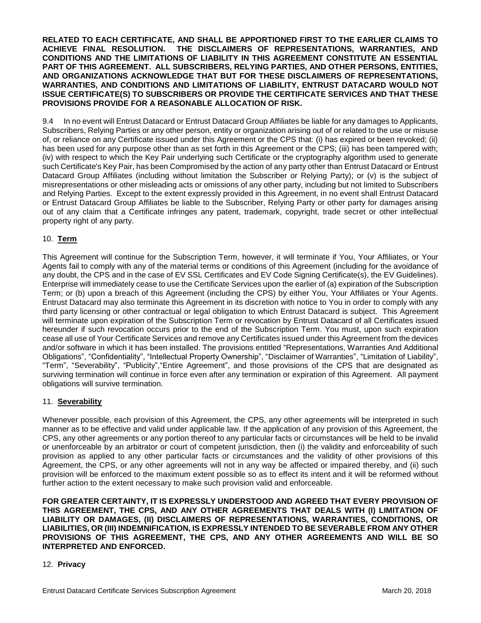**RELATED TO EACH CERTIFICATE, AND SHALL BE APPORTIONED FIRST TO THE EARLIER CLAIMS TO ACHIEVE FINAL RESOLUTION. THE DISCLAIMERS OF REPRESENTATIONS, WARRANTIES, AND CONDITIONS AND THE LIMITATIONS OF LIABILITY IN THIS AGREEMENT CONSTITUTE AN ESSENTIAL PART OF THIS AGREEMENT. ALL SUBSCRIBERS, RELYING PARTIES, AND OTHER PERSONS, ENTITIES, AND ORGANIZATIONS ACKNOWLEDGE THAT BUT FOR THESE DISCLAIMERS OF REPRESENTATIONS, WARRANTIES, AND CONDITIONS AND LIMITATIONS OF LIABILITY, ENTRUST DATACARD WOULD NOT ISSUE CERTIFICATE(S) TO SUBSCRIBERS OR PROVIDE THE CERTIFICATE SERVICES AND THAT THESE PROVISIONS PROVIDE FOR A REASONABLE ALLOCATION OF RISK.**

9.4 In no event will Entrust Datacard or Entrust Datacard Group Affiliates be liable for any damages to Applicants, Subscribers, Relying Parties or any other person, entity or organization arising out of or related to the use or misuse of, or reliance on any Certificate issued under this Agreement or the CPS that: (i) has expired or been revoked; (ii) has been used for any purpose other than as set forth in this Agreement or the CPS; (iii) has been tampered with; (iv) with respect to which the Key Pair underlying such Certificate or the cryptography algorithm used to generate such Certificate's Key Pair, has been Compromised by the action of any party other than Entrust Datacard or Entrust Datacard Group Affiliates (including without limitation the Subscriber or Relying Party); or (v) is the subject of misrepresentations or other misleading acts or omissions of any other party, including but not limited to Subscribers and Relying Parties. Except to the extent expressly provided in this Agreement, in no event shall Entrust Datacard or Entrust Datacard Group Affiliates be liable to the Subscriber, Relying Party or other party for damages arising out of any claim that a Certificate infringes any patent, trademark, copyright, trade secret or other intellectual property right of any party.

## 10. **Term**

This Agreement will continue for the Subscription Term, however, it will terminate if You, Your Affiliates, or Your Agents fail to comply with any of the material terms or conditions of this Agreement (including for the avoidance of any doubt, the CPS and in the case of EV SSL Certificates and EV Code Signing Certificate(s), the EV Guidelines). Enterprise will immediately cease to use the Certificate Services upon the earlier of (a) expiration of the Subscription Term; or (b) upon a breach of this Agreement (including the CPS) by either You, Your Affiliates or Your Agents. Entrust Datacard may also terminate this Agreement in its discretion with notice to You in order to comply with any third party licensing or other contractual or legal obligation to which Entrust Datacard is subject. This Agreement will terminate upon expiration of the Subscription Term or revocation by Entrust Datacard of all Certificates issued hereunder if such revocation occurs prior to the end of the Subscription Term. You must, upon such expiration cease all use of Your Certificate Services and remove any Certificates issued under this Agreement from the devices and/or software in which it has been installed. The provisions entitled "Representations, Warranties And Additional Obligations", "Confidentiality", "Intellectual Property Ownership", "Disclaimer of Warranties", "Limitation of Liability", "Term", "Severability", "Publicity","Entire Agreement", and those provisions of the CPS that are designated as surviving termination will continue in force even after any termination or expiration of this Agreement. All payment obligations will survive termination.

## 11. **Severability**

Whenever possible, each provision of this Agreement, the CPS, any other agreements will be interpreted in such manner as to be effective and valid under applicable law. If the application of any provision of this Agreement, the CPS, any other agreements or any portion thereof to any particular facts or circumstances will be held to be invalid or unenforceable by an arbitrator or court of competent jurisdiction, then (i) the validity and enforceability of such provision as applied to any other particular facts or circumstances and the validity of other provisions of this Agreement, the CPS, or any other agreements will not in any way be affected or impaired thereby, and (ii) such provision will be enforced to the maximum extent possible so as to effect its intent and it will be reformed without further action to the extent necessary to make such provision valid and enforceable.

**FOR GREATER CERTAINTY, IT IS EXPRESSLY UNDERSTOOD AND AGREED THAT EVERY PROVISION OF THIS AGREEMENT, THE CPS, AND ANY OTHER AGREEMENTS THAT DEALS WITH (I) LIMITATION OF LIABILITY OR DAMAGES, (II) DISCLAIMERS OF REPRESENTATIONS, WARRANTIES, CONDITIONS, OR LIABILITIES, OR (III) INDEMNIFICATION, IS EXPRESSLY INTENDED TO BE SEVERABLE FROM ANY OTHER PROVISIONS OF THIS AGREEMENT, THE CPS, AND ANY OTHER AGREEMENTS AND WILL BE SO INTERPRETED AND ENFORCED.**

## 12. **Privacy**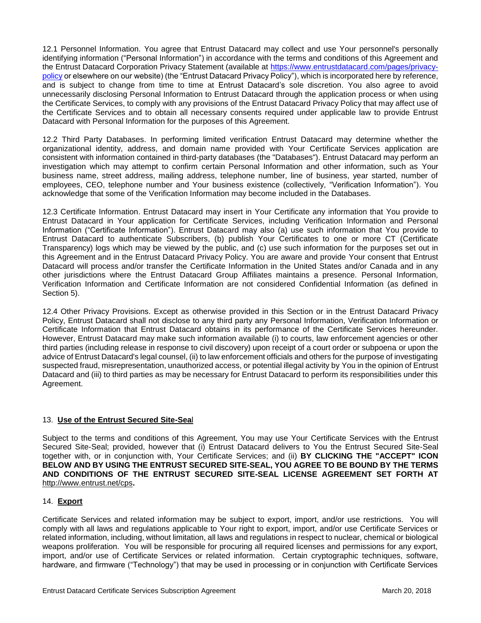12.1 Personnel Information. You agree that Entrust Datacard may collect and use Your personnel's personally identifying information ("Personal Information") in accordance with the terms and conditions of this Agreement and the Entrust Datacard Corporation Privacy Statement (available at [https://www.entrustdatacard.com/pages/privacy](https://www.entrustdatacard.com/pages/privacy-policy)[policy](https://www.entrustdatacard.com/pages/privacy-policy) or elsewhere on our website) (the "Entrust Datacard Privacy Policy"), which is incorporated here by reference, and is subject to change from time to time at Entrust Datacard's sole discretion. You also agree to avoid unnecessarily disclosing Personal Information to Entrust Datacard through the application process or when using the Certificate Services, to comply with any provisions of the Entrust Datacard Privacy Policy that may affect use of the Certificate Services and to obtain all necessary consents required under applicable law to provide Entrust Datacard with Personal Information for the purposes of this Agreement.

12.2 Third Party Databases. In performing limited verification Entrust Datacard may determine whether the organizational identity, address, and domain name provided with Your Certificate Services application are consistent with information contained in third-party databases (the "Databases"). Entrust Datacard may perform an investigation which may attempt to confirm certain Personal Information and other information, such as Your business name, street address, mailing address, telephone number, line of business, year started, number of employees, CEO, telephone number and Your business existence (collectively, "Verification Information"). You acknowledge that some of the Verification Information may become included in the Databases.

12.3 Certificate Information. Entrust Datacard may insert in Your Certificate any information that You provide to Entrust Datacard in Your application for Certificate Services, including Verification Information and Personal Information ("Certificate Information"). Entrust Datacard may also (a) use such information that You provide to Entrust Datacard to authenticate Subscribers, (b) publish Your Certificates to one or more CT (Certificate Transparency) logs which may be viewed by the public, and (c) use such information for the purposes set out in this Agreement and in the Entrust Datacard Privacy Policy. You are aware and provide Your consent that Entrust Datacard will process and/or transfer the Certificate Information in the United States and/or Canada and in any other jurisdictions where the Entrust Datacard Group Affiliates maintains a presence. Personal Information, Verification Information and Certificate Information are not considered Confidential Information (as defined in Section 5).

12.4 Other Privacy Provisions. Except as otherwise provided in this Section or in the Entrust Datacard Privacy Policy, Entrust Datacard shall not disclose to any third party any Personal Information, Verification Information or Certificate Information that Entrust Datacard obtains in its performance of the Certificate Services hereunder. However, Entrust Datacard may make such information available (i) to courts, law enforcement agencies or other third parties (including release in response to civil discovery) upon receipt of a court order or subpoena or upon the advice of Entrust Datacard's legal counsel, (ii) to law enforcement officials and others for the purpose of investigating suspected fraud, misrepresentation, unauthorized access, or potential illegal activity by You in the opinion of Entrust Datacard and (iii) to third parties as may be necessary for Entrust Datacard to perform its responsibilities under this Agreement.

## 13. **Use of the Entrust Secured Site-Sea**l

Subject to the terms and conditions of this Agreement, You may use Your Certificate Services with the Entrust Secured Site-Seal; provided, however that (i) Entrust Datacard delivers to You the Entrust Secured Site-Seal together with, or in conjunction with, Your Certificate Services; and (ii) **BY CLICKING THE "ACCEPT" ICON BELOW AND BY USING THE ENTRUST SECURED SITE-SEAL, YOU AGREE TO BE BOUND BY THE TERMS AND CONDITIONS OF THE ENTRUST SECURED SITE-SEAL LICENSE AGREEMENT SET FORTH AT**  http://www.entrust.net/cps**.**

#### 14. **Export**

Certificate Services and related information may be subject to export, import, and/or use restrictions. You will comply with all laws and regulations applicable to Your right to export, import, and/or use Certificate Services or related information, including, without limitation, all laws and regulations in respect to nuclear, chemical or biological weapons proliferation. You will be responsible for procuring all required licenses and permissions for any export, import, and/or use of Certificate Services or related information. Certain cryptographic techniques, software, hardware, and firmware ("Technology") that may be used in processing or in conjunction with Certificate Services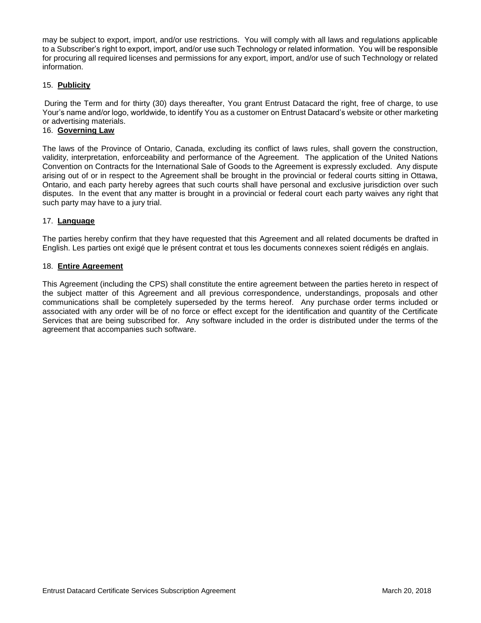may be subject to export, import, and/or use restrictions. You will comply with all laws and regulations applicable to a Subscriber's right to export, import, and/or use such Technology or related information. You will be responsible for procuring all required licenses and permissions for any export, import, and/or use of such Technology or related information.

## 15. **Publicity**

During the Term and for thirty (30) days thereafter, You grant Entrust Datacard the right, free of charge, to use Your's name and/or logo, worldwide, to identify You as a customer on Entrust Datacard's website or other marketing or advertising materials.

## 16. **Governing Law**

The laws of the Province of Ontario, Canada, excluding its conflict of laws rules, shall govern the construction, validity, interpretation, enforceability and performance of the Agreement. The application of the United Nations Convention on Contracts for the International Sale of Goods to the Agreement is expressly excluded. Any dispute arising out of or in respect to the Agreement shall be brought in the provincial or federal courts sitting in Ottawa, Ontario, and each party hereby agrees that such courts shall have personal and exclusive jurisdiction over such disputes. In the event that any matter is brought in a provincial or federal court each party waives any right that such party may have to a jury trial.

#### 17. **Language**

The parties hereby confirm that they have requested that this Agreement and all related documents be drafted in English. Les parties ont exigé que le présent contrat et tous les documents connexes soient rédigés en anglais.

#### 18. **Entire Agreement**

This Agreement (including the CPS) shall constitute the entire agreement between the parties hereto in respect of the subject matter of this Agreement and all previous correspondence, understandings, proposals and other communications shall be completely superseded by the terms hereof. Any purchase order terms included or associated with any order will be of no force or effect except for the identification and quantity of the Certificate Services that are being subscribed for. Any software included in the order is distributed under the terms of the agreement that accompanies such software.